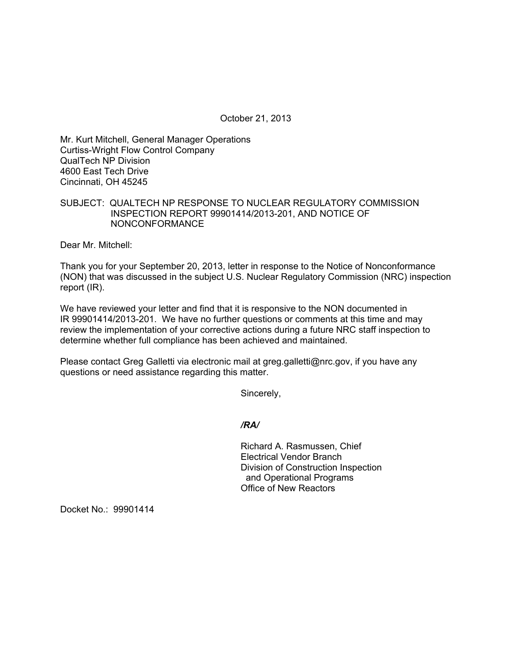October 21, 2013

Mr. Kurt Mitchell, General Manager Operations Curtiss-Wright Flow Control Company QualTech NP Division 4600 East Tech Drive Cincinnati, OH 45245

## SUBJECT: QUALTECH NP RESPONSE TO NUCLEAR REGULATORY COMMISSION INSPECTION REPORT 99901414/2013-201, AND NOTICE OF NONCONFORMANCE

Dear Mr. Mitchell:

Thank you for your September 20, 2013, letter in response to the Notice of Nonconformance (NON) that was discussed in the subject U.S. Nuclear Regulatory Commission (NRC) inspection report (IR).

We have reviewed your letter and find that it is responsive to the NON documented in IR 99901414/2013-201. We have no further questions or comments at this time and may review the implementation of your corrective actions during a future NRC staff inspection to determine whether full compliance has been achieved and maintained.

Please contact Greg Galletti via electronic mail at greg.galletti@nrc.gov, if you have any questions or need assistance regarding this matter.

Sincerely,

*/RA/* 

Richard A. Rasmussen, Chief Electrical Vendor Branch Division of Construction Inspection and Operational Programs Office of New Reactors

Docket No.: 99901414